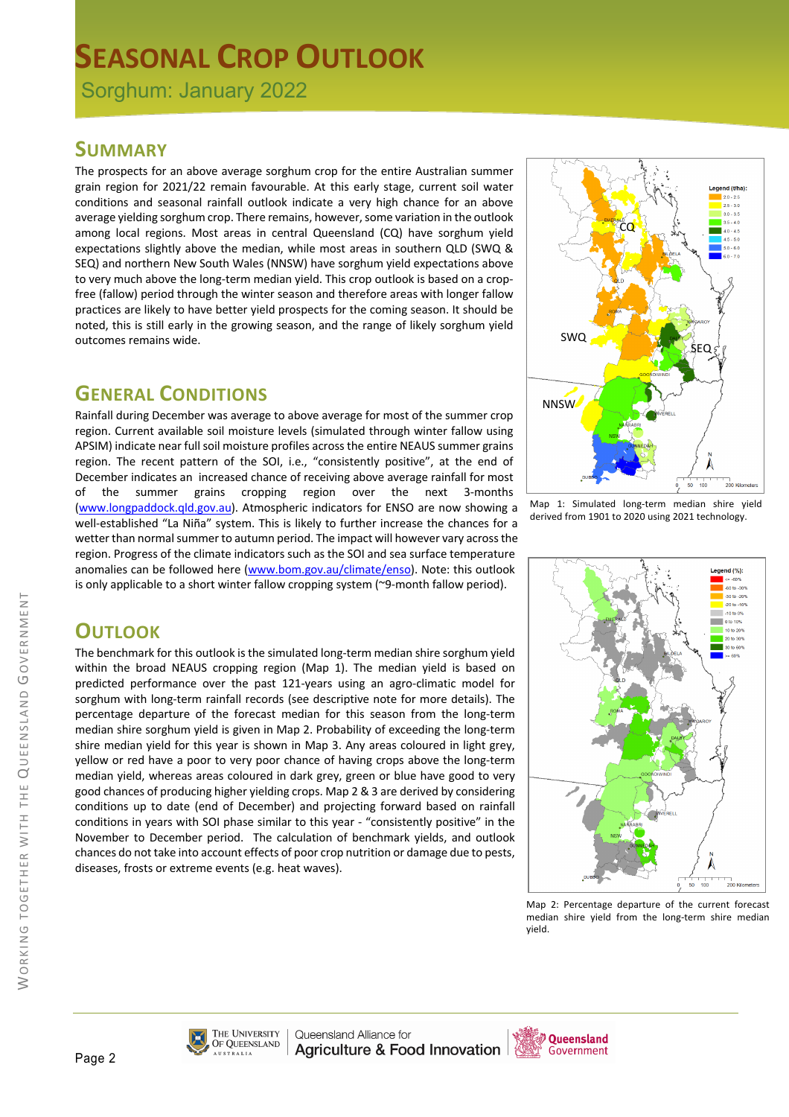# **SEASONAL CROP OUTLOOK**

Sorghum: January 2022

#### **SUMMARY**

The prospects for an above average sorghum crop for the entire Australian summer grain region for 2021/22 remain favourable. At this early stage, current soil water conditions and seasonal rainfall outlook indicate a very high chance for an above average yielding sorghum crop. There remains, however, some variation in the outlook among local regions. Most areas in central Queensland (CQ) have sorghum yield expectations slightly above the median, while most areas in southern QLD (SWQ & SEQ) and northern New South Wales (NNSW) have sorghum yield expectations above to very much above the long-term median yield. This crop outlook is based on a cropfree (fallow) period through the winter season and therefore areas with longer fallow practices are likely to have better yield prospects for the coming season. It should be noted, this is still early in the growing season, and the range of likely sorghum yield outcomes remains wide.

### **GENERAL CONDITIONS**

Rainfall during December was average to above average for most of the summer crop region. Current available soil moisture levels (simulated through winter fallow using APSIM) indicate near full soil moisture profiles across the entire NEAUS summer grains region. The recent pattern of the SOI, i.e., "consistently positive", at the end of December indicates an increased chance of receiving above average rainfall for most of the summer grains cropping region over the next 3-months (www.longpaddock.qld.gov.au). Atmospheric indicators for ENSO are now showing a well-established "La Niña" system. This is likely to further increase the chances for a wetter than normal summer to autumn period. The impact will however vary across the region. Progress of the climate indicators such as the SOI and sea surface temperature anomalies can be followed here (www.bom.gov.au/climate/enso). Note: this outlook is only applicable to a short winter fallow cropping system (~9-month fallow period).



Map 1: Simulated long-term median shire yield derived from 1901 to 2020 using 2021 technology.

# **OUTLOOK**

The benchmark for this outlook is the simulated long-term median shire sorghum yield within the broad NEAUS cropping region (Map 1). The median yield is based on predicted performance over the past 121-years using an agro-climatic model for sorghum with long-term rainfall records (see descriptive note for more details). The percentage departure of the forecast median for this season from the long-term median shire sorghum yield is given in Map 2. Probability of exceeding the long-term shire median yield for this year is shown in Map 3. Any areas coloured in light grey, yellow or red have a poor to very poor chance of having crops above the long-term median yield, whereas areas coloured in dark grey, green or blue have good to very good chances of producing higher yielding crops. Map 2 & 3 are derived by considering conditions up to date (end of December) and projecting forward based on rainfall conditions in years with SOI phase similar to this year - "consistently positive" in the November to December period. The calculation of benchmark yields, and outlook chances do not take into account effects of poor crop nutrition or damage due to pests, diseases, frosts or extreme events (e.g. heat waves).



Map 2: Percentage departure of the current forecast median shire yield from the long-term shire median yield.